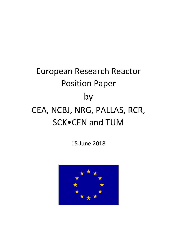# European Research Reactor Position Paper by CEA, NCBJ, NRG, PALLAS, RCR, SCK•CEN and TUM

15 June 2018

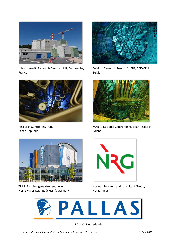

Jules Horowitz Research Reactor, JHR, Cardarache, Belgium Research Reactor 2, BR2, SCK•CEN, France **Belgium** 



Czech Republic **Poland** 



Heinz Maier-Leibnitz (FRM II), Germany Netherlands





Research Centre Rez, RCR, The MARIA, National Centre for Nuclear Research,



TUM, Forschungsneutronenquelle, Nuclear Research and consultant Group,



PALLAS, Netherlands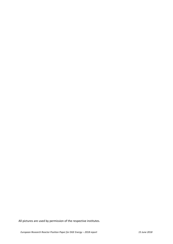All pictures are used by permission of the respective institutes.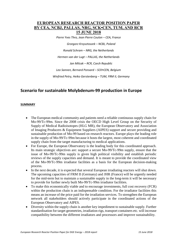# **EUROPEAN RESEARCH REACTOR POSITION PAPER BY CEA, NCBJ, PALLAS, NRG, SCK•CEN, TUM, AND RCR 15 JUNE 2018**

*Pierre Yves Thro, Jean Pierre Coulon – CEA, France*

*Grzegorz Krzysztoszek – NCBJ, Poland*

*Ronald Schram – NRG, the Netherlands*

*Hermen van der Lugt – PALLAS, the Netherlands*

*Jan Milcak – RCR, Czech Republic*

*Leo Sannen, Bernard Ponsard – SCK•CEN, Belgium*

*Winfried Petry, Heiko Gerstenberg – TUM, FRM II, Germany*

# **Scenario for sustainable Molybdenum-99 production in Europe**

#### **SUMMARY**

- The European medical community and patients need a reliable continuous supply chain for Mo-99/Tc-99m. Since the 2008 crisis the OECD High Level Group on the Security of Supply of Medical Radioisotopes (HLG MR), the European Observatory and Association of Imaging Producers & Equipment Suppliers (AIPES) support and secure providing and sustainable production of Mo-99 based on research reactors. Europe plays the leading role in the supply of Mo-99/Tc-99m because it hosts the largest, most coherent and coordinated supply chain from the target manufacturing to medical applications.
- For Europe, the European Observatory is the leading body for this coordinated approach. Its main strategic objectives are: support a secure Mo-99/Tc-99m supply, ensure that the issue of Mo-99/Tc-99m supply is given high political visibility and establish periodic reviews of the supply capacities and demand. It is meant to provide the coordinated view of the Mo-99/Tc-99m irradiator facilities as a basis for the European decision-making process.
- In the next decade, it is expected that several European irradiating reactors will shut down. The upcoming capacities of FRM II (Germany) and JHR (France) will be urgently needed for the mid-term but to maintain a sustainable supply in the long-term it will be necessary to provide for further newly built Mo-99/Tc-99m irradiator facilities.
- To make this economically viable and to encourage investments, full cost recovery (FCR) within the production chain is an indispensable condition. For the irradiator facilities this means an increase of the price paid for the irradiation services. To strengthen the European network all stakeholders should actively participate in the coordinated actions of the European Observatory and AIPES.
- Diversity within the supply chain is another key impediment to sustainable supply. Further standardisation for target geometries, irradiation rigs, transport containers etc. will increase compatibility between the different irradiators and processors and improve sustainability.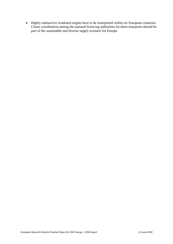Highly radioactive irradiated targets have to be transported within six European countries. Closer coordination among the national licencing authorities for these transports should be part of the sustainable and diverse supply scenario for Europe.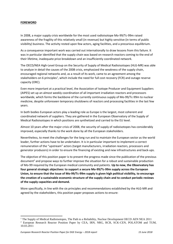## **FOREWORD**

In 2008, a major supply crisis worldwide for the most used radioisotope Mo-99/Tc-99m raised awareness of the fragility of this relatively small (in revenue) but highly sensitive (in terms of public visibility) business. The activity rested upon few actors, aging facilities, and a precarious equilibrium.

As a consequence important work was carried out internationally to draw lessons from this failure. It was in particular identified that the supply chain was based on research reactors coming to the end of their lifetime, inadequate price breakdown and an insufficiently coordinated network.

The OECD/NEA High-Level Group on the Security of Supply of Medical Radioisotopes (HLG-MR) was able to analyze in detail the causes of the 2008 crisis, emphasized the weakness of the supply chain, encouraged regional networks and, as a result of its work, came to an agreement among the stakeholders on 6 principles<sup>1</sup>, which include the need for full cost recovery (FCR) and outage reserve capacity (ORC).

Even more important at a practical level, the Association of Isotope Producer and Equipment Suppliers (AIPES) set up an almost weekly coordination of all important irradiation reactors and processors worldwide, which forms the backbone of the currently continuous supply of Mo-99/Tc-99m to nuclear medicine, despite unforeseen temporary shutdowns of reactors and processing facilities in the last few years.

In both bodies European actors play a leading role as Europe is the largest, most coherent and coordinated network of suppliers. They are gathered in the European Observatory of the Supply of Medical Radioisotopes in which positions are synthetized and carried to the EU level.

Almost 10 years after the major crisis of 2008, the security of supply of radioisotopes has considerably improved, especially thanks to the work done by all the European stakeholders.

Nevertheless, to meet the challenges for the long run and to maintain the European sector as the world leader, further actions have to be undertaken. It is in particular important to implement a correct remuneration of the "upstream" actors (target manufacturers, irradiation reactors, processors and generator producers) in order to ensure the financing of existing and new infrastructures and back-ups.

The objective of this position paper is to present the progress made since the publication of the previous document<sup>2</sup> and propose ways to further improve the situation for a robust and sustainable production of Mo-99 required by the European medical community and patients. **Up to now, the Observatory has four general strategic objectives: to support a secure Mo-99/Tc-99m supply across the European Union, to ensure that the issue of Mo-99/Tc-99m supply is given high political visibility, to encourage the creation of a sustainable economic structure of the supply chain and to conduct periodic reviews of the supply capacities and demand.**

More specifically, in line with the six principles and recommendations established by the HLG-MR and agreed by the stakeholders, this position paper proposes actions to ensure:

 $\overline{a}$ 

<sup>&</sup>lt;sup>1</sup> The Supply of Medical Radioisotopes, The Path to a Reliability, Nuclear Development OECD AEN NEA 2011 <sup>2</sup> European Research Reactor Position Paper by CEA, IRN, NRG, RCR, SCK-CEN, POLATOM and TUM, 10.03.2011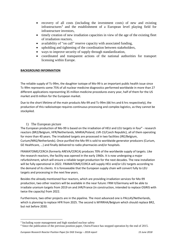- recovery of all costs (including the investment costs) of new and existing infrastructures 3 and the establishment of a European level playing field for infrastructure investors,
- timely creation of new irradiation capacities in view of the age of the existing fleet of irradiation reactors,
- availability of "on call" reserve capacity with associated funding,
- upholding and tightening of the coordination between stakeholders,
- ways to improve security of supply through standardization,
- coordinated and transparent actions of the national authorities for transport licensing within Europe.

## **BACKGROUND INFORMATION**

The reliable supply of Tc-99m, the daughter isotope of Mo-99 is an important public health issue since Tc-99m represents some 75% of all nuclear medicine diagnostics performed worldwide in more than 27 different applications representing 35 million medicine procedures every year, half of them for the US market and 8 million for the European market.

Due to the short lifetime of the main products Mo-99 and Tc-99m (66 hrs and 6 hrs respectively), the production of this radioisotope requires continuous processing and complex logistics, as they cannot be stockpiled.

## 1) The European picture

The European production of Mo-99 is based on the irradiation of HEU and LEU targets in four<sup>4</sup> - research reactors (BR2/Belgium, HFR/Netherlands, MARIA/Poland, LVR-15/Czech Republic), all of them operating for more than 40 years. The irradiated targets are processed in two facilities (IRE/Belgium, Curium/NRG/Netherlands). Once purified the Mo-99 is sold to worldwide generator producers (Curium, GE Healthcare, …) and finally delivered to radio pharmacies and/or hospitals.

FRAMATOME/CERCA (formerly AREVA/CERCA) produces 70% of the worldwide supply of targets. Like the research reactors, the facility was opened in the early 1960s. It is now undergoing a major refurbishment, which will ensure a reliable target production for the next decades. The new installation will be fully operational in 2022. FRAMATOME/CERCA will supply HEU and/or LEU targets according to the demand of its clients. It is foreseeable that the European supply chain will convert fully to LEU targets and processing in the next few years.

Besides the already mentioned four reactors, which are providing irradiation services for Mo-99 production, two other reactors will be available in the near future: FRM II/Germany will be able to irradiate uranium targets from 2019 on and JHR/France (in construction, intended to replace OSIRIS with twice the capacity) from 2022.

Furthermore, two other projects are in the pipeline. The most advanced one is PALLAS/Netherlands, which is planning to replace HFR from 2025. The second is MYRRHA/Belgium which should replace BR2, but not before 2030.

1

<sup>&</sup>lt;sup>3</sup> Including waste management and high standard nuclear safety

<sup>4</sup> Since the publication of the previous position paper, Osiris/France has stopped operation by the end of 2015.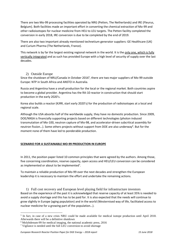There are two Mo-99 processing facilities operated by NRG (Petten, The Netherlands) and IRE (Fleurus, Belgium). Both facilities made an important effort in converting the chemical extraction of Mo-99 and other radioisotopes for nuclear medicine from HEU to LEU targets. The Petten facility completed the conversion in early 2018, IRE conversion is due to be completed by the end of 2019.

There are also two important already mentioned technetium generator suppliers: GE Healthcare (UK) and Curium Pharma (The Netherlands, France).

This network is by far the largest existing regional network in the world. It is the only one, which is fully vertically integrated and as such has provided Europe with a high level of security of supply over the last decades.

## 2) Outside Europe

Since the shutdown of NRU/Canada in October 2016<sup>5</sup>, there are two major suppliers of Mo-99 outside Europe: NTP in South Africa and ANSTO in Australia.

Russia and Argentina have a small production for the local or the regional market. Both countries aspire to become a global provider. Argentina has the RA-10 reactor in construction that should start production in the early 2020's.

Korea also builds a reactor (KJRR, start early 2020's) for the production of radioisotopes at a local and regional scale.

Although the USA absorbs half of the worldwide supply, they have no domestic production. Since 2009, DOE/NNSA is financially supporting projects based on different technologies (photon induced transmutation of Mo-100, neutron capture of Mo-98, and accelerator-driven subcritical assembly for neutron fission...). Some others projects without support from DOE are also underway<sup>6</sup>. But for the moment none of them have led to ponderable production.

# **SCENARIO FOR A SUSTAINABLE MO-99 PRODUCTION IN EUROPE**

In 2011, the position paper listed 10 common principles that were agreed by the authors. Among those, five concerning coordination, reserve capacity, open access and HEU/LEU conversion can be considered as implemented or about to be implemented<sup>7</sup>.

To maintain a reliable production of Mo-99 over the next decades and strengthen the European leadership it is necessary to maintain the effort and undertake the remaining actions.

1) Full cost recovery and European level playing field for infrastructure investors Based on the experience of the past it is acknowledged that reserve capacity of at least 35% is needed to avoid a supply shortage and this has to be paid for. It is also expected that the needs will continue to grow slightly in Europe (aging population) and in the world (Westernised way of life, facilitated access to nuclear medicine for a growing part of the population…).

**<sup>.</sup>** <sup>5</sup> In fact, in case of a new crisis NRU could be made available for medical isotope production until April 2018. Afterwards there will be a definitive shutdown

<sup>6</sup> Molybdenum-99 for medical imaging, the national academic press, 2016

<sup>&</sup>lt;sup>7</sup> Vigilance is needed until the full LEU conversion to avoid shortage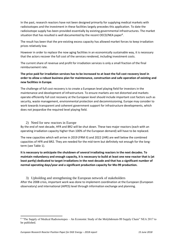In the past, research reactors have not been designed primarily for supplying medical markets with radioisotopes and the investment in these facilities largely precedes this application. To date the radioisotope supply has been provided essentially by existing governmental infrastructures. The market situation that has resulted is well documented by the recent OECD/NEA paper<sup>8</sup>.

The result has been that the pre-existing excess capacity has allowed market forces to keep irradiation prices relatively low.

However in order to replace the now aging facilities in an economically sustainable way, it is necessary that the actors recover the full cost of the services rendered, including investment costs.

The current share of revenue and profit for irradiation services is only a small fraction of the final reimbursement rate.

**The price paid for irradiation services has to be increased to at least the full cost recovery level in order to allow a robust business plan for maintenance, construction and safe operation of existing and new facilities in Europe**.

The challenge of full cost recovery is to create a European level playing field for investors in the maintenance and development of infrastructure. To ensure markets are not distorted and markets operate efficiently full cost recovery at the European level should include important cost factors such as security, waste management, environmental protection and decommissioning. Europe may consider to work towards transparent and coherent government support for infrastructure developments, which does not jeopardize the required level playing field.

#### 2) Need for new reactors in Europe

By the end of next decade, HFR and BR2 will be shut down. These two major reactors (each with an operating irradiation capacity higher than 100% of the European demand) will have to be replaced.

The new capacities which will arrive in 2019 (FRM II) and 2022 (JHR) are well below the combined capacities of HFR and BR2. They are needed for the mid-term but definitely not enough for the longterm (see Table 1).

**It is necessary to anticipate the shutdown of several irradiating reactors in the next decades. To maintain redundancy and enough capacity, it is necessary to build at least one new reactor that is (at least partly) dedicated to target irradiations in the next decade and that has a significant number of normal operating days/year and a significant production capacity for Mo-99 production.**

3) Upholding and strengthening the European network of stakeholders After the 2008 crisis, important work was done to implement coordination at the European (European observatory) and international (AIPES) level through information exchange and planning.

 $\overline{a}$ 

<sup>&</sup>lt;sup>8</sup> "The Supply of Medical Radioisotopes – An Economic Study of the Molybdenum-99 Supply Chain" NEA 2017 to be published.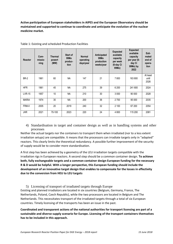**Active participation of European stakeholders in AIPES and the European Observatory should be maintained and supported to continue to coordinate and anticipate the evolution of the nuclear medicine market.**

| <b>Reactor</b> | Com-<br>missio-<br>ning | <b>Thermal</b><br>powert<br>(MW) | Start of<br>99Mo<br>produc-<br>tion | <b>Normal</b><br>operating<br>days/year | Anticipated<br>99Mo<br>production<br>weeks/year | <b>Expected</b><br>available<br>capacity<br>per week<br>(6-day Ci<br>99Mo) | <b>Expected</b><br>available<br>capacity<br>per year (6-<br>day Ci<br>99Mo) by<br>2022 | Esti-<br>mated<br>end of<br>opera-<br>tion |
|----------------|-------------------------|----------------------------------|-------------------------------------|-----------------------------------------|-------------------------------------------------|----------------------------------------------------------------------------|----------------------------------------------------------------------------------------|--------------------------------------------|
| <b>BR-2</b>    | 1961                    | 60                               | <b>NA</b>                           | 147                                     | 21                                              | 7800                                                                       | 163 800                                                                                | At least<br>until<br>2026                  |
| <b>HFR</b>     | 1961                    | 45                               | <b>NA</b>                           | 275                                     | 39                                              | 6 200                                                                      | 241 800                                                                                | 2024                                       |
| <b>LVR-15</b>  | 1957                    | 10                               | <b>NA</b>                           | 210                                     | 30                                              | 3 0 0 0                                                                    | 90 000                                                                                 | 2028                                       |
| <b>MARIA</b>   | 1974                    | 30                               | NA                                  | 200                                     | 36                                              | 2700                                                                       | 95 000                                                                                 | 2035                                       |
| FRM-II         | 2005                    | 20                               | 2019                                | 240                                     | 32                                              | 2 100                                                                      | 67 200                                                                                 | 2054                                       |
| <b>JHR</b>     | 2021                    | 70-100                           | 2023                                | 220                                     | 24                                              | 4 8 0 0                                                                    | 115 200                                                                                | 2081                                       |

Table 1: Existing and scheduled Production Facilities

4) Standardisation in target and container design as well as in handling systems and other processes

Neither the actual targets nor the containers to transport them when irradiated (nor to a less extent irradiation setups) are compatible. It means that the processors can irradiate targets only in "adapted" reactors. This clearly limits the theoretical redundancy. A possible further improvement of the security of supply would be to consider more standardisation.

A first step has been achieved by a geometry of the LEU irradiation targets compatible with the irradiation rigs in European reactors. A second step should be a common container design. **To achieve both, fully exchangeable targets and a common container design European funding for the necessary R & D would be helpful. With a longer perspective, this European funding should include the development of an innovative target design that enables to compensate for the losses in effectivity due to the conversion from HEU to LEU targets** 

5) Licensing of transport of irradiated targets through Europe Existing and planned irradiators are located in six countries (Belgium, Germany, France, The Netherlands, Poland, Czech Republic), while the two processors are located in Belgium and The Netherlands. This necessitates transport of the irradiated targets through a total of six European countries. Timely licensing of the transports has been an issue in the past.

**Coordinated and transparent actions of the national authorities for transport licensing are part of a sustainable and diverse supply scenario for Europe. Licensing of the transport containers themselves has to be included in this approach.**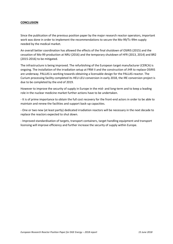#### **CONCLUSION**

Since the publication of the previous position paper by the major research reactor operators, important work was done in order to implement the recommendations to secure the Mo-99/Tc-99m supply needed by the medical market.

An overall better coordination has allowed the effects of the final shutdown of OSIRIS (2015) and the cessation of Mo-99 production at NRU (2016) and the temporary shutdown of HFR (2013, 2014) and BR2 (2015-2016) to be mitigated.

The infrastructure is being improved. The refurbishing of the European target manufacturer (CERCA) is ongoing. The installation of the irradiation setup at FRM II and the construction of JHR to replace OSIRIS are underway. PALLAS is working towards obtaining a licensable design for the PALLAS-reactor. The Curium processing facility completed its HEU-LEU conversion in early 2018, the IRE conversion project is due to be completed by the end of 2019.

However to improve the security of supply in Europe in the mid- and long-term and to keep a leading role in the nuclear medicine market further actions have to be undertaken.

- It is of prime importance to obtain the full cost recovery for the front-end actors in order to be able to maintain and renew the facilities and support back-up capacities.

- One or two new (at least partly) dedicated irradiation reactors will be necessary in the next decade to replace the reactors expected to shut down.

- Improved standardisation of targets, transport containers, target handling equipment and transport licensing will improve efficiency and further increase the security of supply within Europe.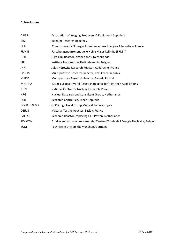#### **Abbreviations**

| <b>AIPES</b>    | Association of Imaging Producers & Equipment Suppliers                         |
|-----------------|--------------------------------------------------------------------------------|
| BR <sub>2</sub> | Belgium Research Reactor 2                                                     |
| <b>CEA</b>      | Commissariat à l'Énergie Atomique et aux Energies Alternatives France          |
| FRM II          | Forschungsneutronenquelle Heinz Maier-Leibnitz (FRM II)                        |
| <b>HFR</b>      | High Flux Reactor, Netherlands, Netherlands                                    |
| <b>IRE</b>      | Institute National des Radioelements, Belgium                                  |
| <b>JHR</b>      | Jules Horowitz Research Reactor, Cadarache, France                             |
| LVR-15          | Multi-purpose Research Reactor, Rez, Czech Republic                            |
| <b>MARIA</b>    | Multi-purpose Research Reactor, Swierk, Poland                                 |
| <b>MYRRHA</b>   | Multi-purpose Hybrid Research Reactor for High-tech Applications               |
| <b>NCBJ</b>     | National Centre for Nuclear Research, Poland                                   |
| <b>NRG</b>      | Nuclear Research and consultant Group, Netherlands                             |
| <b>RCR</b>      | Research Centre Rez, Czech Republic                                            |
| OECD HLG MR     | OECD High Level Group Medical Radioisotopes                                    |
| <b>OSIRIS</b>   | Material Testing Reactor, Saclay, France                                       |
| <b>PALLAS</b>   | Research Reactor, replacing HFR Petten, Netherlands                            |
| SCK•CEN         | Studiecentrum voor Kernenergie, Centre d'Etude de l'Energie Nucléaire, Belgium |
| TUM             | Technische Universität München, Germany                                        |